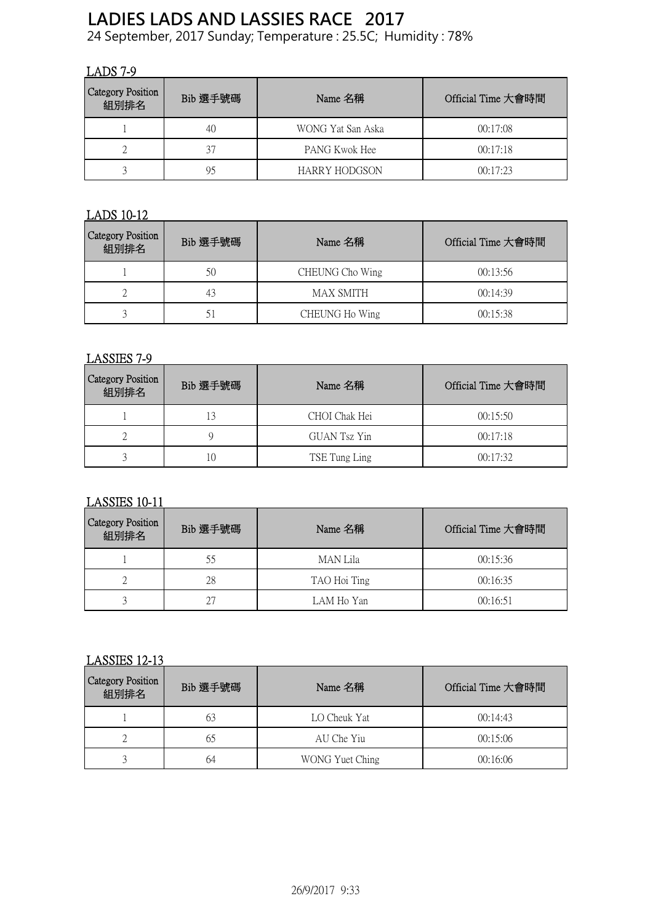# **LADIES LADS AND LASSIES RACE 2017**

24 September, 2017 Sunday; Temperature : 25.5C; Humidity : 78%

## LADS 7-9

| Category Position<br>組別排名 | Bib 選手號碼 | Name 名稱           | Official Time 大會時間 |
|---------------------------|----------|-------------------|--------------------|
|                           | 40       | WONG Yat San Aska | 00:17:08           |
| ∠                         | 37       | PANG Kwok Hee     | 00:17:18           |
|                           | 95       | HARRY HODGSON     | 00:17:23           |

## LADS 10-12

| <b>Category Position</b><br>組別排名 | Bib 選手號碼 | Name 名稱          | Official Time 大會時間 |
|----------------------------------|----------|------------------|--------------------|
|                                  | 50       | CHEUNG Cho Wing  | 00:13:56           |
|                                  | 43       | <b>MAX SMITH</b> | 00:14:39           |
|                                  |          | CHEUNG Ho Wing   | 00:15:38           |

#### LASSIES 7-9

| <b>Category Position</b><br>組別排名 | Bib 選手號碼 | Name 名稱       | Official Time 大會時間 |
|----------------------------------|----------|---------------|--------------------|
|                                  |          | CHOI Chak Hei | 00:15:50           |
|                                  |          | GUAN Tsz Yin  | 00:17:18           |
|                                  |          | TSE Tung Ling | 00:17:32           |

## LASSIES 10-11

| <b>Category Position</b><br>組別排名 | Bib 選手號碼 | Name 名稱      | Official Time 大會時間 |
|----------------------------------|----------|--------------|--------------------|
|                                  | 55       | MAN Lila     | 00:15:36           |
|                                  | 28       | TAO Hoi Ting | 00:16:35           |
|                                  |          | LAM Ho Yan   | 00:16:51           |

#### LASSIES 12-13

| <b>Category Position</b><br>組別排名 | Bib 選手號碼 | Name 名稱         | Official Time 大會時間 |
|----------------------------------|----------|-----------------|--------------------|
|                                  |          | LO Cheuk Yat    | 00:14:43           |
|                                  |          | AU Che Yiu      | 00:15:06           |
|                                  | 64       | WONG Yuet Ching | 00:16:06           |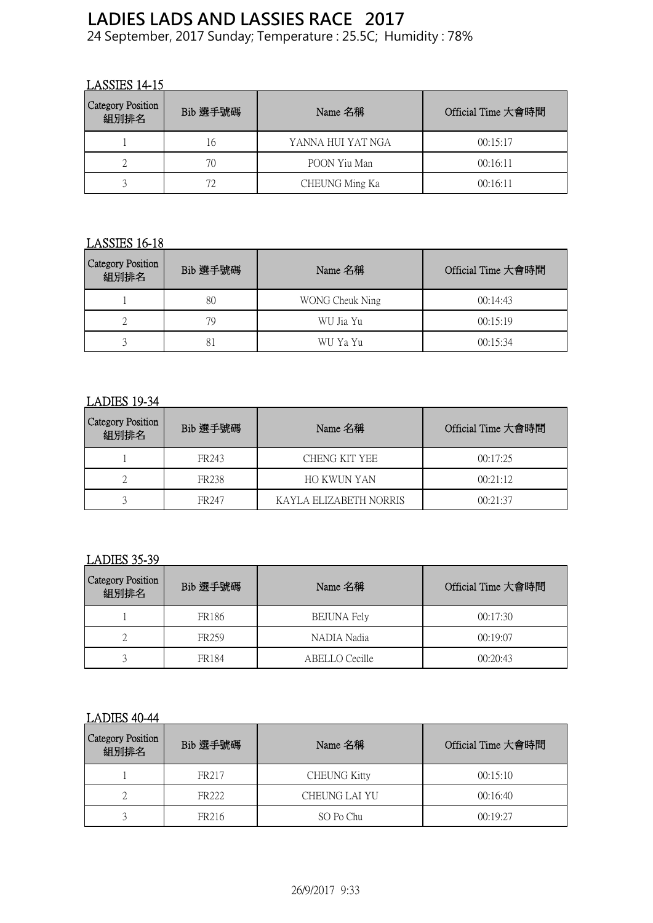## **LADIES LADS AND LASSIES RACE 2017**

24 September, 2017 Sunday; Temperature : 25.5C; Humidity : 78%

## LASSIES 14-15

| Category Position<br>組別排名 | Bib 選手號碼 | Name 名稱           | Official Time 大會時間 |
|---------------------------|----------|-------------------|--------------------|
|                           | Iб       | YANNA HUI YAT NGA | 00:15:17           |
|                           | 70       | POON Yiu Man      | 00:16:11           |
|                           |          | CHEUNG Ming Ka    | 00:16:11           |

## LASSIES 16-18

| Category Position<br>組別排名 | Bib 選手號碼 | Name 名稱         | Official Time 大會時間 |
|---------------------------|----------|-----------------|--------------------|
|                           | 80       | WONG Cheuk Ning | 00:14:43           |
| ∠                         | 79       | WU Jia Yu       | 00:15:19           |
|                           |          | WU Ya Yu        | 00:15:34           |

#### LADIES 19-34

| <b>Category Position</b><br>組別排名 | Bib 選手號碼          | Name 名稱                | Official Time 大會時間 |
|----------------------------------|-------------------|------------------------|--------------------|
|                                  | FR <sub>243</sub> | CHENG KIT YEE          | 00:17:25           |
|                                  | FR <sub>238</sub> | HO KWUN YAN            | 00:21:12           |
|                                  | FR247             | KAYLA ELIZABETH NORRIS | 00:21:37           |

## LADIES 35-39

| <b>Category Position</b><br>組別排名 | Bib 選手號碼          | Name 名稱            | Official Time 大會時間 |
|----------------------------------|-------------------|--------------------|--------------------|
|                                  | FR <sub>186</sub> | <b>BEJUNA Fely</b> | 00:17:30           |
|                                  | FR <sub>259</sub> | NADIA Nadia        | 00:19:07           |
|                                  | FR184             | ABELLO Cecille     | 00:20:43           |

#### LADIES 40-44

| Category Position<br>組別排名 | Bib 選手號碼          | Name 名稱             | Official Time 大會時間 |
|---------------------------|-------------------|---------------------|--------------------|
|                           | FR <sub>217</sub> | <b>CHEUNG Kitty</b> | 00:15:10           |
|                           | FR222             | CHEUNG LAI YU       | 00:16:40           |
|                           | FR216             | SO Po Chu           | 00:19:27           |